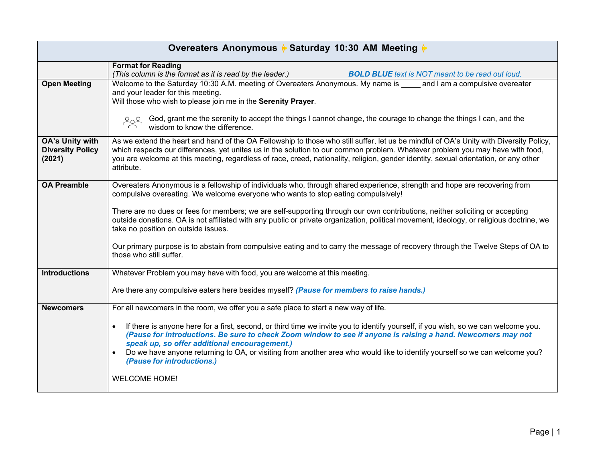| Overeaters Anonymous ♦ Saturday 10:30 AM Meeting ♦   |                                                                                                                                                                                                                                                                                                                                                                                                                                                                                                                                                                                                                                                                                                 |  |
|------------------------------------------------------|-------------------------------------------------------------------------------------------------------------------------------------------------------------------------------------------------------------------------------------------------------------------------------------------------------------------------------------------------------------------------------------------------------------------------------------------------------------------------------------------------------------------------------------------------------------------------------------------------------------------------------------------------------------------------------------------------|--|
|                                                      | <b>Format for Reading</b><br>(This column is the format as it is read by the leader.)<br><b>BOLD BLUE</b> text is NOT meant to be read out loud.                                                                                                                                                                                                                                                                                                                                                                                                                                                                                                                                                |  |
| <b>Open Meeting</b>                                  | Welcome to the Saturday 10:30 A.M. meeting of Overeaters Anonymous. My name is and I am a compulsive overeater<br>and your leader for this meeting.<br>Will those who wish to please join me in the Serenity Prayer.<br><b>Solution</b> God, grant me the serenity to accept the things I cannot change, the courage to change the things I can, and the<br>wisdom to know the difference.                                                                                                                                                                                                                                                                                                      |  |
| OA's Unity with<br><b>Diversity Policy</b><br>(2021) | As we extend the heart and hand of the OA Fellowship to those who still suffer, let us be mindful of OA's Unity with Diversity Policy,<br>which respects our differences, yet unites us in the solution to our common problem. Whatever problem you may have with food,<br>you are welcome at this meeting, regardless of race, creed, nationality, religion, gender identity, sexual orientation, or any other<br>attribute.                                                                                                                                                                                                                                                                   |  |
| <b>OA Preamble</b>                                   | Overeaters Anonymous is a fellowship of individuals who, through shared experience, strength and hope are recovering from<br>compulsive overeating. We welcome everyone who wants to stop eating compulsively!<br>There are no dues or fees for members; we are self-supporting through our own contributions, neither soliciting or accepting<br>outside donations. OA is not affiliated with any public or private organization, political movement, ideology, or religious doctrine, we<br>take no position on outside issues.<br>Our primary purpose is to abstain from compulsive eating and to carry the message of recovery through the Twelve Steps of OA to<br>those who still suffer. |  |
| <b>Introductions</b>                                 | Whatever Problem you may have with food, you are welcome at this meeting.<br>Are there any compulsive eaters here besides myself? (Pause for members to raise hands.)                                                                                                                                                                                                                                                                                                                                                                                                                                                                                                                           |  |
| <b>Newcomers</b>                                     | For all newcomers in the room, we offer you a safe place to start a new way of life.<br>If there is anyone here for a first, second, or third time we invite you to identify yourself, if you wish, so we can welcome you.<br>$\bullet$<br>(Pause for introductions. Be sure to check Zoom window to see if anyone is raising a hand. Newcomers may not<br>speak up, so offer additional encouragement.)<br>Do we have anyone returning to OA, or visiting from another area who would like to identify yourself so we can welcome you?<br>(Pause for introductions.)<br><b>WELCOME HOME!</b>                                                                                                   |  |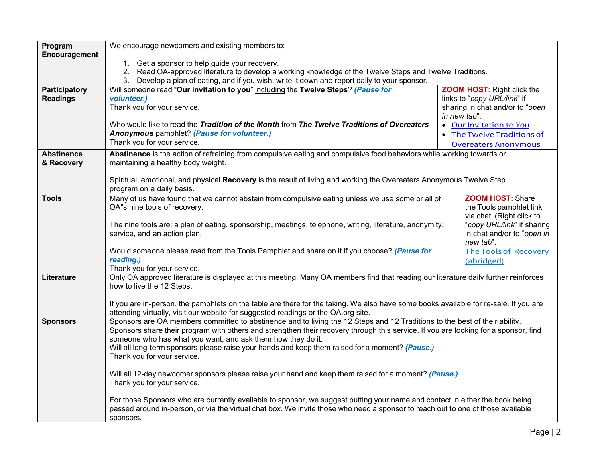| Program<br>Encouragement | We encourage newcomers and existing members to:                                                                                                                                                                                                                   |                                                                                                                      |  |
|--------------------------|-------------------------------------------------------------------------------------------------------------------------------------------------------------------------------------------------------------------------------------------------------------------|----------------------------------------------------------------------------------------------------------------------|--|
|                          | 1. Get a sponsor to help guide your recovery.                                                                                                                                                                                                                     |                                                                                                                      |  |
|                          | 2. Read OA-approved literature to develop a working knowledge of the Twelve Steps and Twelve Traditions.                                                                                                                                                          |                                                                                                                      |  |
|                          | 3. Develop a plan of eating, and if you wish, write it down and report daily to your sponsor.                                                                                                                                                                     |                                                                                                                      |  |
| Participatory            | Will someone read "Our invitation to you" including the Twelve Steps? (Pause for                                                                                                                                                                                  | <b>ZOOM HOST: Right click the</b>                                                                                    |  |
| <b>Readings</b>          | volunteer.)<br>Thank you for your service.                                                                                                                                                                                                                        | links to "copy URL/link" if<br>sharing in chat and/or to "open                                                       |  |
|                          |                                                                                                                                                                                                                                                                   | in new tab".                                                                                                         |  |
|                          | Who would like to read the Tradition of the Month from The Twelve Traditions of Overeaters                                                                                                                                                                        | • Our Invitation to You                                                                                              |  |
|                          | Anonymous pamphlet? (Pause for volunteer.)                                                                                                                                                                                                                        | • The Twelve Traditions of                                                                                           |  |
|                          | Thank you for your service.                                                                                                                                                                                                                                       | <b>Overeaters Anonymous</b>                                                                                          |  |
| <b>Abstinence</b>        |                                                                                                                                                                                                                                                                   | Abstinence is the action of refraining from compulsive eating and compulsive food behaviors while working towards or |  |
| & Recovery               | maintaining a healthy body weight.                                                                                                                                                                                                                                |                                                                                                                      |  |
|                          | Spiritual, emotional, and physical Recovery is the result of living and working the Overeaters Anonymous Twelve Step                                                                                                                                              |                                                                                                                      |  |
|                          | program on a daily basis.                                                                                                                                                                                                                                         |                                                                                                                      |  |
| <b>Tools</b>             | <b>ZOOM HOST: Share</b><br>Many of us have found that we cannot abstain from compulsive eating unless we use some or all of                                                                                                                                       |                                                                                                                      |  |
|                          | OA"s nine tools of recovery.                                                                                                                                                                                                                                      | the Tools pamphlet link                                                                                              |  |
|                          |                                                                                                                                                                                                                                                                   | via chat. (Right click to                                                                                            |  |
|                          | The nine tools are: a plan of eating, sponsorship, meetings, telephone, writing, literature, anonymity,<br>service, and an action plan.                                                                                                                           | "copy URL/link" if sharing<br>in chat and/or to "open in                                                             |  |
|                          |                                                                                                                                                                                                                                                                   | new tab".                                                                                                            |  |
|                          | Would someone please read from the Tools Pamphlet and share on it if you choose? (Pause for                                                                                                                                                                       | <b>The Tools of Recovery</b>                                                                                         |  |
|                          | reading.)                                                                                                                                                                                                                                                         | (abridged)                                                                                                           |  |
| Literature               | Thank you for your service.<br>Only OA approved literature is displayed at this meeting. Many OA members find that reading our literature daily further reinforces                                                                                                |                                                                                                                      |  |
|                          | how to live the 12 Steps.                                                                                                                                                                                                                                         |                                                                                                                      |  |
|                          |                                                                                                                                                                                                                                                                   |                                                                                                                      |  |
|                          | If you are in-person, the pamphlets on the table are there for the taking. We also have some books available for re-sale. If you are                                                                                                                              |                                                                                                                      |  |
|                          | attending virtually, visit our website for suggested readings or the OA.org site.                                                                                                                                                                                 |                                                                                                                      |  |
| <b>Sponsors</b>          | Sponsors are OA members committed to abstinence and to living the 12 Steps and 12 Traditions to the best of their ability.<br>Sponsors share their program with others and strengthen their recovery through this service. If you are looking for a sponsor, find |                                                                                                                      |  |
|                          | someone who has what you want, and ask them how they do it.                                                                                                                                                                                                       |                                                                                                                      |  |
|                          | Will all long-term sponsors please raise your hands and keep them raised for a moment? (Pause.)                                                                                                                                                                   |                                                                                                                      |  |
|                          | Thank you for your service.                                                                                                                                                                                                                                       |                                                                                                                      |  |
|                          |                                                                                                                                                                                                                                                                   |                                                                                                                      |  |
|                          | Will all 12-day newcomer sponsors please raise your hand and keep them raised for a moment? (Pause.)<br>Thank you for your service.                                                                                                                               |                                                                                                                      |  |
|                          |                                                                                                                                                                                                                                                                   |                                                                                                                      |  |
|                          | For those Sponsors who are currently available to sponsor, we suggest putting your name and contact in either the book being                                                                                                                                      |                                                                                                                      |  |
|                          | passed around in-person, or via the virtual chat box. We invite those who need a sponsor to reach out to one of those available                                                                                                                                   |                                                                                                                      |  |
|                          | sponsors.                                                                                                                                                                                                                                                         |                                                                                                                      |  |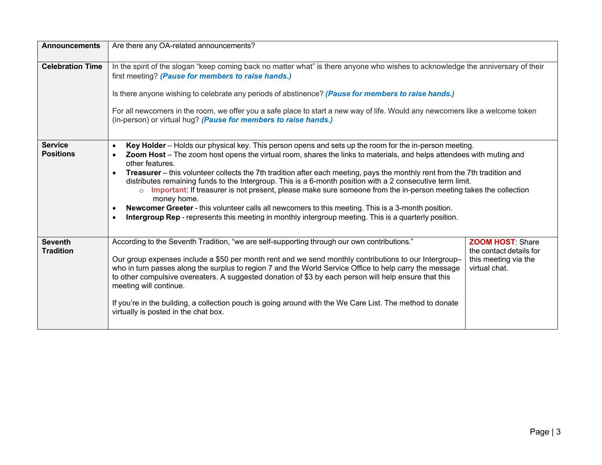| <b>Announcements</b>               | Are there any OA-related announcements?                                                                                                                                                                                                                                                                                                                                                                                                                                                                                                                                                                                                                                                                                                                                                                                                                  |                                                                                             |
|------------------------------------|----------------------------------------------------------------------------------------------------------------------------------------------------------------------------------------------------------------------------------------------------------------------------------------------------------------------------------------------------------------------------------------------------------------------------------------------------------------------------------------------------------------------------------------------------------------------------------------------------------------------------------------------------------------------------------------------------------------------------------------------------------------------------------------------------------------------------------------------------------|---------------------------------------------------------------------------------------------|
| <b>Celebration Time</b>            | In the spirit of the slogan "keep coming back no matter what" is there anyone who wishes to acknowledge the anniversary of their<br>first meeting? (Pause for members to raise hands.)<br>Is there anyone wishing to celebrate any periods of abstinence? (Pause for members to raise hands.)<br>For all newcomers in the room, we offer you a safe place to start a new way of life. Would any newcomers like a welcome token<br>(in-person) or virtual hug? (Pause for members to raise hands.)                                                                                                                                                                                                                                                                                                                                                        |                                                                                             |
| <b>Service</b><br><b>Positions</b> | Key Holder - Holds our physical key. This person opens and sets up the room for the in-person meeting.<br>Zoom Host – The zoom host opens the virtual room, shares the links to materials, and helps attendees with muting and<br>other features.<br>Treasurer - this volunteer collects the 7th tradition after each meeting, pays the monthly rent from the 7th tradition and<br>distributes remaining funds to the Intergroup. This is a 6-month position with a 2 consecutive term limit.<br>o Important: If treasurer is not present, please make sure someone from the in-person meeting takes the collection<br>money home.<br><b>Newcomer Greeter - this volunteer calls all newcomers to this meeting. This is a 3-month position.</b><br>Intergroup Rep - represents this meeting in monthly intergroup meeting. This is a quarterly position. |                                                                                             |
| <b>Seventh</b><br><b>Tradition</b> | According to the Seventh Tradition, "we are self-supporting through our own contributions."<br>Our group expenses include a \$50 per month rent and we send monthly contributions to our Intergroup-<br>who in turn passes along the surplus to region 7 and the World Service Office to help carry the message<br>to other compulsive overeaters. A suggested donation of \$3 by each person will help ensure that this<br>meeting will continue.<br>If you're in the building, a collection pouch is going around with the We Care List. The method to donate<br>virtually is posted in the chat box.                                                                                                                                                                                                                                                  | <b>ZOOM HOST: Share</b><br>the contact details for<br>this meeting via the<br>virtual chat. |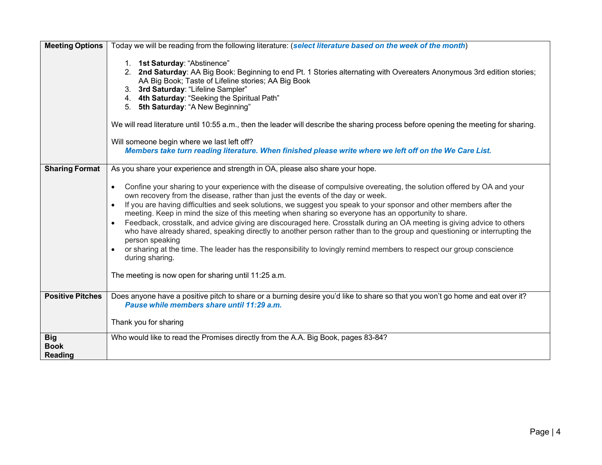| <b>Meeting Options</b>                      | Today we will be reading from the following literature: (select literature based on the week of the month)                                                                                                                                                                                                                                                                                                                                                                                                                                                                                                                                                                                                                                                                                                                                                                                                                        |
|---------------------------------------------|-----------------------------------------------------------------------------------------------------------------------------------------------------------------------------------------------------------------------------------------------------------------------------------------------------------------------------------------------------------------------------------------------------------------------------------------------------------------------------------------------------------------------------------------------------------------------------------------------------------------------------------------------------------------------------------------------------------------------------------------------------------------------------------------------------------------------------------------------------------------------------------------------------------------------------------|
|                                             | 1. 1st Saturday: "Abstinence"<br>2. 2nd Saturday: AA Big Book: Beginning to end Pt. 1 Stories alternating with Overeaters Anonymous 3rd edition stories;<br>AA Big Book; Taste of Lifeline stories; AA Big Book<br>3. 3rd Saturday: "Lifeline Sampler"<br>4. 4th Saturday: "Seeking the Spiritual Path"<br>5. 5th Saturday: "A New Beginning"<br>We will read literature until 10:55 a.m., then the leader will describe the sharing process before opening the meeting for sharing.<br>Will someone begin where we last left off?<br>Members take turn reading literature. When finished please write where we left off on the We Care List.                                                                                                                                                                                                                                                                                     |
| <b>Sharing Format</b>                       | As you share your experience and strength in OA, please also share your hope.                                                                                                                                                                                                                                                                                                                                                                                                                                                                                                                                                                                                                                                                                                                                                                                                                                                     |
|                                             | Confine your sharing to your experience with the disease of compulsive overeating, the solution offered by OA and your<br>own recovery from the disease, rather than just the events of the day or week.<br>If you are having difficulties and seek solutions, we suggest you speak to your sponsor and other members after the<br>$\bullet$<br>meeting. Keep in mind the size of this meeting when sharing so everyone has an opportunity to share.<br>Feedback, crosstalk, and advice giving are discouraged here. Crosstalk during an OA meeting is giving advice to others<br>who have already shared, speaking directly to another person rather than to the group and questioning or interrupting the<br>person speaking<br>or sharing at the time. The leader has the responsibility to lovingly remind members to respect our group conscience<br>during sharing.<br>The meeting is now open for sharing until 11:25 a.m. |
| <b>Positive Pitches</b>                     | Does anyone have a positive pitch to share or a burning desire you'd like to share so that you won't go home and eat over it?<br>Pause while members share until 11:29 a.m.                                                                                                                                                                                                                                                                                                                                                                                                                                                                                                                                                                                                                                                                                                                                                       |
|                                             | Thank you for sharing                                                                                                                                                                                                                                                                                                                                                                                                                                                                                                                                                                                                                                                                                                                                                                                                                                                                                                             |
| <b>Big</b><br><b>Book</b><br><b>Reading</b> | Who would like to read the Promises directly from the A.A. Big Book, pages 83-84?                                                                                                                                                                                                                                                                                                                                                                                                                                                                                                                                                                                                                                                                                                                                                                                                                                                 |